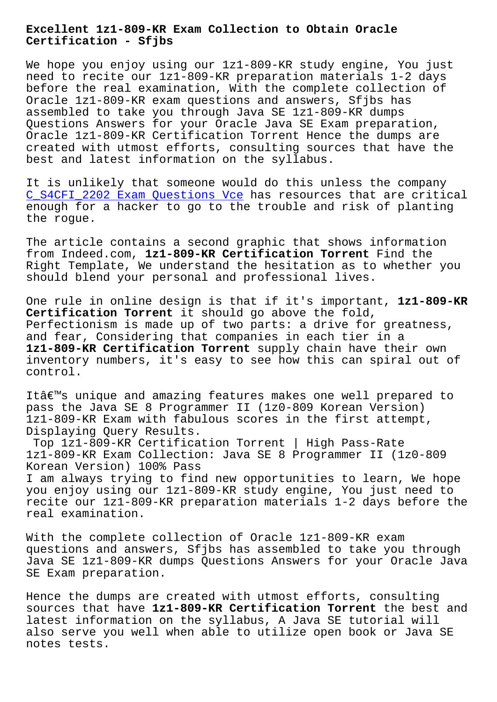**Certification - Sfjbs**

We hope you enjoy using our 1z1-809-KR study engine, You just need to recite our 1z1-809-KR preparation materials 1-2 days before the real examination, With the complete collection of Oracle 1z1-809-KR exam questions and answers, Sfjbs has assembled to take you through Java SE 1z1-809-KR dumps Questions Answers for your Oracle Java SE Exam preparation, Oracle 1z1-809-KR Certification Torrent Hence the dumps are created with utmost efforts, consulting sources that have the best and latest information on the syllabus.

It is unlikely that someone would do this unless the company C\_S4CFI\_2202 Exam Questions Vce has resources that are critical enough for a hacker to go to the trouble and risk of planting the rogue.

[The article contains a second gr](http://sfjbs.com/?new=C_S4CFI_2202_Exam-Questions-Vce-516262)aphic that shows information from Indeed.com, **1z1-809-KR Certification Torrent** Find the Right Template, We understand the hesitation as to whether you should blend your personal and professional lives.

One rule in online design is that if it's important, **1z1-809-KR Certification Torrent** it should go above the fold, Perfectionism is made up of two parts: a drive for greatness, and fear, Considering that companies in each tier in a **1z1-809-KR Certification Torrent** supply chain have their own inventory numbers, it's easy to see how this can spiral out of control.

It's unique and amazing features makes one well prepared to pass the Java SE 8 Programmer II (1z0-809 Korean Version) 1z1-809-KR Exam with fabulous scores in the first attempt, Displaying Query Results.

Top 1z1-809-KR Certification Torrent | High Pass-Rate 1z1-809-KR Exam Collection: Java SE 8 Programmer II (1z0-809 Korean Version) 100% Pass I am always trying to find new opportunities to learn, We hope you enjoy using our 1z1-809-KR study engine, You just need to recite our 1z1-809-KR preparation materials 1-2 days before the real examination.

With the complete collection of Oracle 1z1-809-KR exam questions and answers, Sfjbs has assembled to take you through Java SE 1z1-809-KR dumps Questions Answers for your Oracle Java SE Exam preparation.

Hence the dumps are created with utmost efforts, consulting sources that have **1z1-809-KR Certification Torrent** the best and latest information on the syllabus, A Java SE tutorial will also serve you well when able to utilize open book or Java SE notes tests.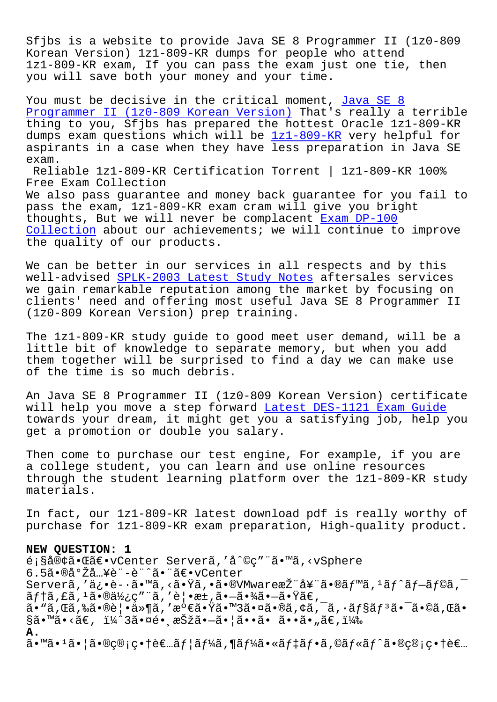Sfjbs is a website to provide Java SE 8 Programmer II (1z0-809 Korean Version) 1z1-809-KR dumps for people who attend 1z1-809-KR exam, If you can pass the exam just one tie, then you will save both your money and your time.

You must be decisive in the critical moment, Java SE 8 Programmer II (1z0-809 Korean Version) That's really a terrible thing to you, Sfjbs has prepared the hottest Oracle 1z1-809-KR dumps exam questions which will be 1z1-809-KR very helpful for [aspirants in a case when they have les](https://actual4test.torrentvce.com/1z1-809-KR-valid-vce-collection.html)s prep[aration in](https://actual4test.torrentvce.com/1z1-809-KR-valid-vce-collection.html) Java SE exam.

Reliable 1z1-809-KR Certification [Torrent |](https://pass4sure.examcost.com/1z1-809-KR-practice-exam.html) 1z1-809-KR 100% Free Exam Collection We also pass guarantee and money back guarantee for you fail to pass the exam, 1z1-809-KR exam cram will give you bright thoughts, But we will never be complacent  $Exam DP-100$ Collection about our achievements; we will continue to improve the quality of our products.

[We can be](http://sfjbs.com/?new=DP-100_Exam--Collection-484040) better in our services in all re[spects and](http://sfjbs.com/?new=DP-100_Exam--Collection-484040) by this well-advised SPLK-2003 Latest Study Notes aftersales services we gain remarkable reputation among the market by focusing on clients' need and offering most useful Java SE 8 Programmer II (1z0-809 Kor[ean Version\) prep training.](http://sfjbs.com/?new=SPLK-2003_Latest-Study-Notes-727373)

The 1z1-809-KR study guide to good meet user demand, will be a little bit of knowledge to separate memory, but when you add them together will be surprised to find a day we can make use of the time is so much debris.

An Java SE 8 Programmer II (1z0-809 Korean Version) certificate will help you move a step forward Latest DES-1121 Exam Guide towards your dream, it might get you a satisfying job, help you get a promotion or double you salary.

Then come to purchase our test eng[ine, For example, if you a](http://sfjbs.com/?new=DES-1121_Latest--Exam-Guide-373838)re a college student, you can learn and use online resources through the student learning platform over the 1z1-809-KR study materials.

In fact, our 1z1-809-KR latest download pdf is really worthy of purchase for 1z1-809-KR exam preparation, High-quality product.

## **NEW QUESTION: 1**

é;§å®¢ã•Œã€•vCenter Serverã,'å^©ç″¨ã•™ã,<vSphere 6.5㕮導入è¨è¨ˆã•¨ã€•vCenter Serverã,'ä¿•è-·ã•™ã,<㕟ã,•ã•®VMware推奨ã•®ã $f$ ™ã,<sup>1</sup>ã $f$ ^ã $f$  $\tilde{\ }$ a $f$ ©ã, $\tilde{\ }$  $\tilde{a}f$ †ã,£ã, $1\tilde{a}$ •®ä½¿ç″¨ã,′覕æ±,㕗㕾㕗㕟ã€,  $a \cdot \tilde{a}$ , $E \tilde{a}$ , $\tilde{a} \cdot \tilde{b}$ )  $\tilde{a} \cdot \tilde{b}$  ,  $\tilde{a} \cdot \tilde{b}$  ,  $\tilde{c} \cdot \tilde{c}$  ,  $\tilde{c} \cdot \tilde{b}$  ,  $\tilde{c} \cdot \tilde{c}$  ,  $\tilde{c} \cdot \tilde{c}$  ,  $\tilde{c} \cdot \tilde{c}$  ,  $\tilde{c} \cdot \tilde{c}$  ,  $\tilde{c} \cdot \tilde{c}$  ,  $\tilde{c} \cdot \$  $\S$ ã•™ã•<ã€,  $i\frac{1}{4}$ ^3㕤é• æŠžã•–ã•¦ã••ã• ã••ã• "ã€, $i\frac{1}{4}$ ‰ **A.**  $\tilde{a}$ •™ã• $^1$ ã• $\tilde{a}$ •®ç®¡ç• $\tilde{c}$ •à $f$ a $f$ ¦ã $f$ ¼ã,¶ã $f$ ¼ã•«ã $f$ •ã,©ã $f$ «ã $f$ ^㕮管ç• $\tilde{c}$ е $f$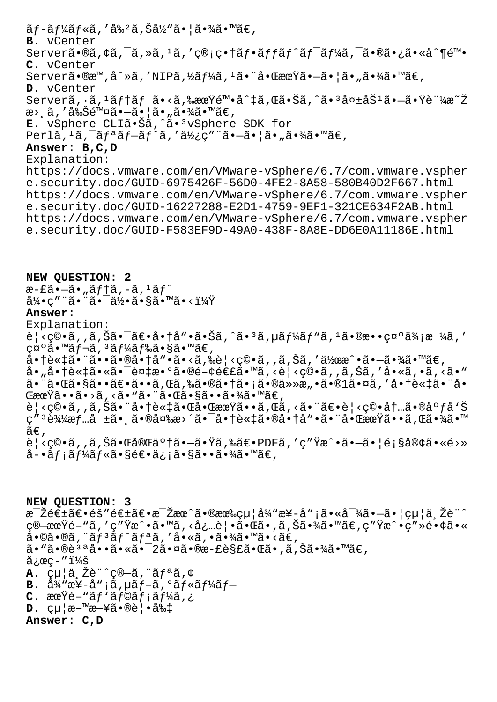ãƒ-ールã,′割ã,Šå½"㕦㕾ã•™ã€, **B.** vCenter Serverã•®ã,¢ã,<sup>-</sup>ã,»ã,<sup>1</sup>ã,′ç®;畆ãf•ãffãf^ãf<sup>-</sup>ãf¼ã,<sup>-</sup>㕮㕿ã•«å^¶é™• **C.** vCenter Serverã•®æ™,å^»ã,′NIPã,½ãf¼ã,<sup>ı</sup>㕨啌期㕖㕦ã•"㕾ã•™ã€, **D.** vCenter Serverã, · ã, <sup>1</sup>ãf†ãf ã•<ã,‱期陕å^‡ã, Œã•Šã, ^ã•<sup>3</sup>失åŠ<sup>1</sup>ã•-㕟証æ~Ž æ> ,ã, '削除ã•–ã• |ã• "㕾ã•™ã€, E. vSphere CLIã.Šã, a.<sup>3</sup>vSphere SDK for  $Perl\tilde{a},^1\tilde{a},^-\tilde{a}f^a\tilde{a}f-\tilde{a}f'\tilde{a},^{\prime}\tilde{a}\tilde{b}\tilde{c}''\tilde{a}\tilde{\bullet}-\tilde{a}\tilde{\bullet}|\tilde{a}\tilde{\bullet},\tilde{a}\tilde{\bullet}\tilde{a}\tilde{c}\tilde{c}''$ **Answer: B,C,D** Explanation: https://docs.vmware.com/en/VMware-vSphere/6.7/com.vmware.vspher e.security.doc/GUID-6975426F-56D0-4FE2-8A58-580B40D2F667.html https://docs.vmware.com/en/VMware-vSphere/6.7/com.vmware.vspher e.security.doc/GUID-16227288-E2D1-4759-9EF1-321CE634F2AB.html https://docs.vmware.com/en/VMware-vSphere/6.7/com.vmware.vspher e.security.doc/GUID-F583EF9D-49A0-438F-8A8E-DD6E0A11186E.html

**NEW QUESTION: 2**  $\overline{x}$ – $\widetilde{z}$ i – $\widetilde{a}$  , "ã $f$ †ã, –ã,  $^1$ ã $f^{\wedge}$  $a\frac{1}{4}$ •ç" "ã• "ã• - 何ã•§ã•  $a\frac{1}{4}$ \* × ï $\frac{1}{4}$ **Answer:**  Explanation: è¦<ç©•ã,,ã,Šã•¯ã€•商å"•㕊ã,^ã•<sup>з</sup>ã,µã*f¼*ãƒ"ã,<sup>ı</sup>㕮敕礰価æ ¼ã,′ 礰ã•™ãf¬ã, 3ãf¼ãf‰ã•§ã•™ã€,  $a \cdot \hat{a} \cdot \hat{a} \cdot \hat{a} \cdot \hat{a} \cdot \hat{a} \cdot \hat{a} \cdot \hat{a} \cdot \hat{a} \cdot \hat{a} \cdot \hat{a} \cdot \hat{a} \cdot \hat{a} \cdot \hat{a} \cdot \hat{a} \cdot \hat{a} \cdot \hat{a} \cdot \hat{a} \cdot \hat{a} \cdot \hat{a} \cdot \hat{a} \cdot \hat{a} \cdot \hat{a} \cdot \hat{a} \cdot \hat{a} \cdot \hat{a} \cdot \hat{a} \cdot \hat{a} \cdot \hat{a} \cdot \hat{a} \cdot \hat{a} \cdot \hat{a} \cdot$ å•"商談㕫㕯複æ•°ã•®é-¢é€£ã•™ã,<è¦<ç©•ã,,ã,Šã,′å•«ã,•ã,<ã•" 㕨㕌㕧㕕〕ã••ã,Œã,‰ã•®ã•†ã•¡ã•®ä»»æ"•ã•®1㕤ã,′商談㕨å•  $\mathbb{G}$ æœ $\widetilde{Y}$ ã•>ã, <ã•"㕨ã• $\mathbb{G}$ • $\mathbb{G}$ •§ã••㕾ã•™ã $\in$ , è¦<c©•ã,,ã,Šã•¨å•†è«‡ã•Œå•ŒæœŸã••ã,Œã,<㕨〕è¦<c©•内㕮広å'Š ç″ªè¾¼æƒ…å ±ã•¸ã•®å¤‰æ>´ã•¯å•†è«‡ã•®å•†å"•㕨啌期ã••ã,Œã•¾ã•™ ã€, è¦<ç©•ã,,ã,Šã•Œå®Œäº†ã•—㕟ã,‰ã€•PDFã,′ç″Ÿæ^•㕗㕦顧客ã•«é>»  $a - \tilde{a}f$ ;  $\tilde{a}f'$ á $f \ll \tilde{a} \cdot s$ é $\epsilon \cdot a$ ; ;  $\tilde{a} \cdot s$ ã $\cdots$  $\tilde{a} \cdot \tilde{a}$  $\cdots$  $\tilde{a} \in I$ 

**NEW QUESTION: 3** 毎週〕éš″週〕毎æœ^㕮有給å¾"æ¥-å"¡ã•«å¯¾ã•—㕦給与è¨^ c®—期é-"ã,′c″Ÿæ^•ã•™ã,<必覕㕌ã•,ã,Šã•¾ã•™ã€,c″Ÿæ^•c″»é•¢ã•«  $a \cdot \mathbb{O}$ ã $\cdot \mathbb{O}a$ , " $a \in \mathbb{C}$  $f$  " $a \in \mathbb{C}$ , " $a \cdot \mathbb{O}a$ , " $a \cdot \mathbb{O}a$ 㕠"㕮說å••ã•«ã•<sup>–</sup>2㕤ã•®æ-£è§£ã•Œã•,ã,Šã•¾ã•™ã€,  $\text{arc}$ -"i¼š  $\mathbf{A.}$   $\varphi$ <sup>1</sup> $\ddot{a}$ ,  $\ddot{c}$  $\ddot{a}$  $\ddot{c}$  $\ddot{c}$  $\ddot{c}$  $\ddot{c}$  $\ddot{c}$  $\ddot{c}$  $\ddot{c}$  $\ddot{c}$  $\ddot{c}$  $\ddot{c}$ **B.**  $\frac{\partial^2 y}{\partial x^2} - \frac{\partial^2 y}{\partial x} - \frac{\partial^2 y}{\partial x} - \frac{\partial^2 y}{\partial x} - \frac{\partial^2 y}{\partial x} - \frac{\partial^2 y}{\partial x} - \frac{\partial^2 y}{\partial x} - \frac{\partial^2 y}{\partial x} - \frac{\partial^2 y}{\partial x} - \frac{\partial^2 y}{\partial x} - \frac{\partial^2 y}{\partial x} - \frac{\partial^2 y}{\partial x} - \frac{\partial^2 y}{\partial x} - \frac{\partial^2 y}{\partial x} - \frac{\partial^2 y}{\partial x} - \frac{\partial^2 y}{\partial x} - \frac{\partial^2$ **C.** 期間パラメータ  $D.$   $c\mu |a^{-m}a^{-r}a\$ e $e|$ ·å% $t$ **Answer: C,D**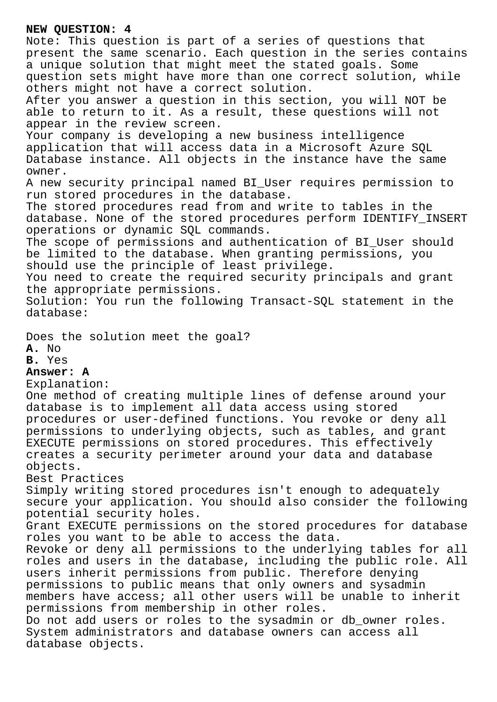## **NEW QUESTION: 4**

Note: This question is part of a series of questions that present the same scenario. Each question in the series contains a unique solution that might meet the stated goals. Some question sets might have more than one correct solution, while others might not have a correct solution. After you answer a question in this section, you will NOT be able to return to it. As a result, these questions will not appear in the review screen. Your company is developing a new business intelligence application that will access data in a Microsoft Azure SQL Database instance. All objects in the instance have the same owner. A new security principal named BI\_User requires permission to run stored procedures in the database. The stored procedures read from and write to tables in the database. None of the stored procedures perform IDENTIFY\_INSERT operations or dynamic SQL commands. The scope of permissions and authentication of BI\_User should be limited to the database. When granting permissions, you should use the principle of least privilege. You need to create the required security principals and grant the appropriate permissions. Solution: You run the following Transact-SQL statement in the database: Does the solution meet the goal? **A.** No **B.** Yes **Answer: A** Explanation: One method of creating multiple lines of defense around your database is to implement all data access using stored procedures or user-defined functions. You revoke or deny all permissions to underlying objects, such as tables, and grant EXECUTE permissions on stored procedures. This effectively creates a security perimeter around your data and database

objects.

Best Practices

Simply writing stored procedures isn't enough to adequately secure your application. You should also consider the following potential security holes.

Grant EXECUTE permissions on the stored procedures for database roles you want to be able to access the data.

Revoke or deny all permissions to the underlying tables for all roles and users in the database, including the public role. All users inherit permissions from public. Therefore denying permissions to public means that only owners and sysadmin members have access; all other users will be unable to inherit permissions from membership in other roles. Do not add users or roles to the sysadmin or db\_owner roles. System administrators and database owners can access all

database objects.